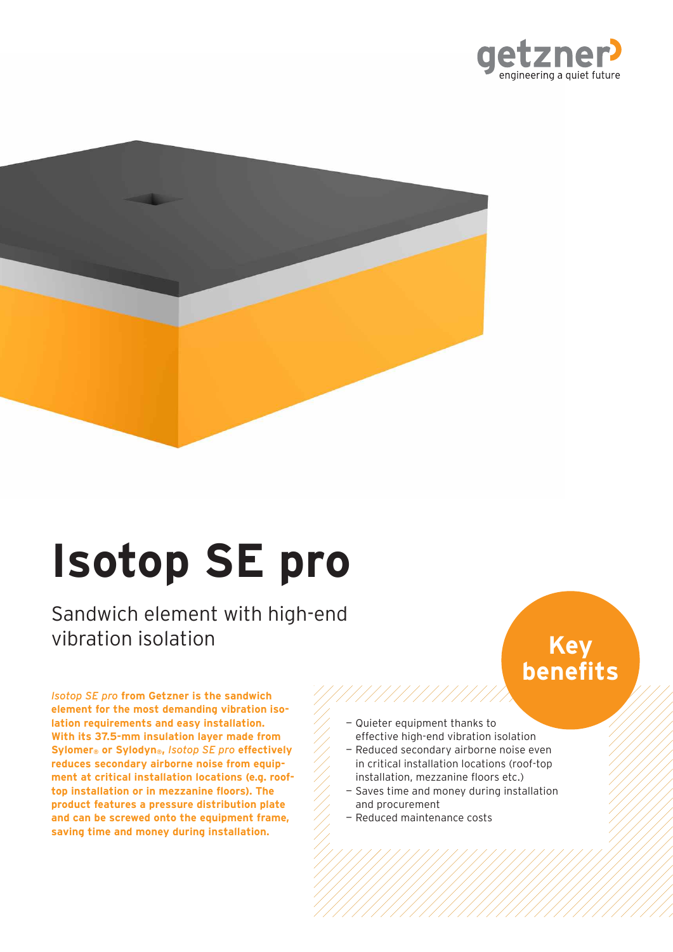



# **Isotop SE pro**

Sandwich element with high-end vibration isolation

*Isotop SE pro* **from Getzner is the sandwich element for the most demanding vibration isolation requirements and easy installation. With its 37.5mm insulation layer made from Sylomer® or Sylodyn®,** *Isotop SE pro* **effectively reduces secondary airborne noise from equipment at critical installation locations (e.g. rooftop installation or in mezzanine floors). The product features a pressure distribution plate and can be screwed onto the equipment frame, saving time and money during installation.**

# **Key benefits**

— Quieter equipment thanks to

//////////////

- effective high-end vibration isolation — Reduced secondary airborne noise even in critical installation locations (roof-top installation, mezzanine floors etc.)
- Saves time and money during installation and procurement
- Reduced maintenance costs